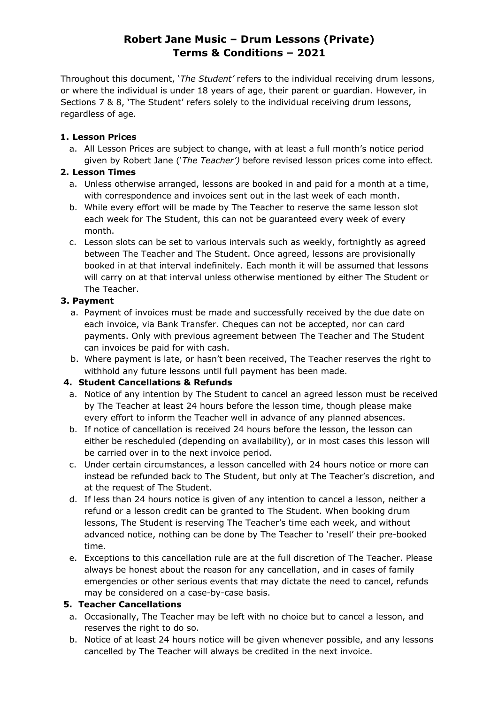# **Robert Jane Music – Drum Lessons (Private) Terms & Conditions – 2021**

Throughout this document, '*The Student'* refers to the individual receiving drum lessons, or where the individual is under 18 years of age, their parent or guardian. However, in Sections 7 & 8, 'The Student' refers solely to the individual receiving drum lessons, regardless of age.

### **1. Lesson Prices**

a. All Lesson Prices are subject to change, with at least a full month's notice period given by Robert Jane ('*The Teacher')* before revised lesson prices come into effect*.*

## **2. Lesson Times**

- a. Unless otherwise arranged, lessons are booked in and paid for a month at a time, with correspondence and invoices sent out in the last week of each month.
- b. While every effort will be made by The Teacher to reserve the same lesson slot each week for The Student, this can not be guaranteed every week of every month.
- c. Lesson slots can be set to various intervals such as weekly, fortnightly as agreed between The Teacher and The Student. Once agreed, lessons are provisionally booked in at that interval indefinitely. Each month it will be assumed that lessons will carry on at that interval unless otherwise mentioned by either The Student or The Teacher.

# **3. Payment**

- a. Payment of invoices must be made and successfully received by the due date on each invoice, via Bank Transfer. Cheques can not be accepted, nor can card payments. Only with previous agreement between The Teacher and The Student can invoices be paid for with cash.
- b. Where payment is late, or hasn't been received, The Teacher reserves the right to withhold any future lessons until full payment has been made.

# **4. Student Cancellations & Refunds**

- a. Notice of any intention by The Student to cancel an agreed lesson must be received by The Teacher at least 24 hours before the lesson time, though please make every effort to inform the Teacher well in advance of any planned absences.
- b. If notice of cancellation is received 24 hours before the lesson, the lesson can either be rescheduled (depending on availability), or in most cases this lesson will be carried over in to the next invoice period.
- c. Under certain circumstances, a lesson cancelled with 24 hours notice or more can instead be refunded back to The Student, but only at The Teacher's discretion, and at the request of The Student.
- d. If less than 24 hours notice is given of any intention to cancel a lesson, neither a refund or a lesson credit can be granted to The Student. When booking drum lessons, The Student is reserving The Teacher's time each week, and without advanced notice, nothing can be done by The Teacher to 'resell' their pre-booked time.
- e. Exceptions to this cancellation rule are at the full discretion of The Teacher. Please always be honest about the reason for any cancellation, and in cases of family emergencies or other serious events that may dictate the need to cancel, refunds may be considered on a case-by-case basis.

# **5. Teacher Cancellations**

- a. Occasionally, The Teacher may be left with no choice but to cancel a lesson, and reserves the right to do so.
- b. Notice of at least 24 hours notice will be given whenever possible, and any lessons cancelled by The Teacher will always be credited in the next invoice.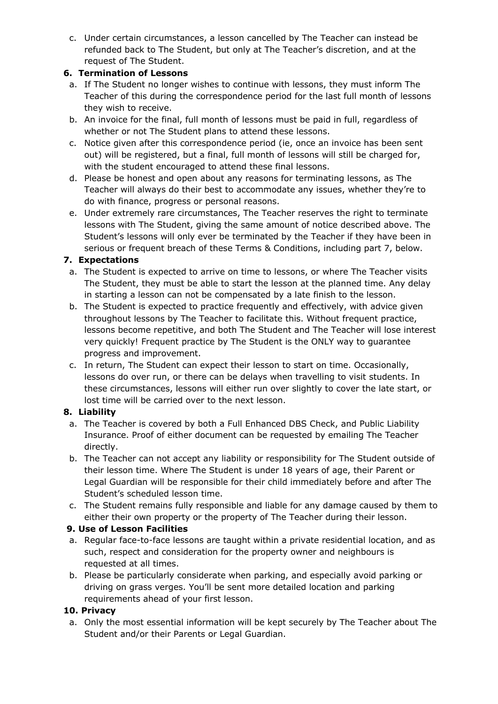c. Under certain circumstances, a lesson cancelled by The Teacher can instead be refunded back to The Student, but only at The Teacher's discretion, and at the request of The Student.

# **6. Termination of Lessons**

- a. If The Student no longer wishes to continue with lessons, they must inform The Teacher of this during the correspondence period for the last full month of lessons they wish to receive.
- b. An invoice for the final, full month of lessons must be paid in full, regardless of whether or not The Student plans to attend these lessons.
- c. Notice given after this correspondence period (ie, once an invoice has been sent out) will be registered, but a final, full month of lessons will still be charged for, with the student encouraged to attend these final lessons.
- d. Please be honest and open about any reasons for terminating lessons, as The Teacher will always do their best to accommodate any issues, whether they're to do with finance, progress or personal reasons.
- e. Under extremely rare circumstances, The Teacher reserves the right to terminate lessons with The Student, giving the same amount of notice described above. The Student's lessons will only ever be terminated by the Teacher if they have been in serious or frequent breach of these Terms & Conditions, including part 7, below.

### **7. Expectations**

- a. The Student is expected to arrive on time to lessons, or where The Teacher visits The Student, they must be able to start the lesson at the planned time. Any delay in starting a lesson can not be compensated by a late finish to the lesson.
- b. The Student is expected to practice frequently and effectively, with advice given throughout lessons by The Teacher to facilitate this. Without frequent practice, lessons become repetitive, and both The Student and The Teacher will lose interest very quickly! Frequent practice by The Student is the ONLY way to guarantee progress and improvement.
- c. In return, The Student can expect their lesson to start on time. Occasionally, lessons do over run, or there can be delays when travelling to visit students. In these circumstances, lessons will either run over slightly to cover the late start, or lost time will be carried over to the next lesson.

# **8. Liability**

- a. The Teacher is covered by both a Full Enhanced DBS Check, and Public Liability Insurance. Proof of either document can be requested by emailing The Teacher directly.
- b. The Teacher can not accept any liability or responsibility for The Student outside of their lesson time. Where The Student is under 18 years of age, their Parent or Legal Guardian will be responsible for their child immediately before and after The Student's scheduled lesson time.
- c. The Student remains fully responsible and liable for any damage caused by them to either their own property or the property of The Teacher during their lesson.

# **9. Use of Lesson Facilities**

- a. Regular face-to-face lessons are taught within a private residential location, and as such, respect and consideration for the property owner and neighbours is requested at all times.
- b. Please be particularly considerate when parking, and especially avoid parking or driving on grass verges. You'll be sent more detailed location and parking requirements ahead of your first lesson.

# **10. Privacy**

a. Only the most essential information will be kept securely by The Teacher about The Student and/or their Parents or Legal Guardian.